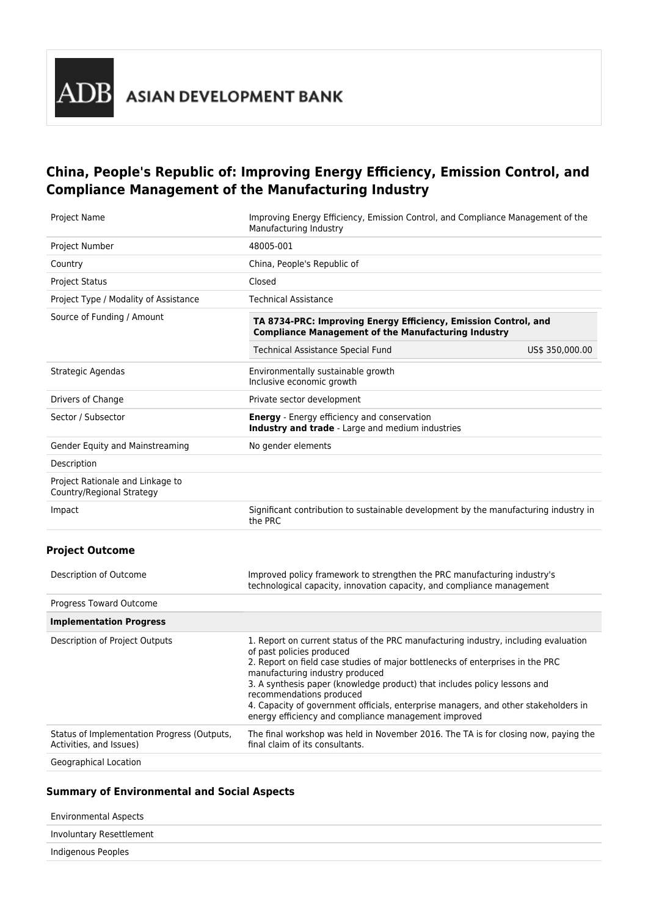# **China, People's Republic of: Improving Energy Efficiency, Emission Control, and Compliance Management of the Manufacturing Industry**

| <b>Project Name</b>                                           | Improving Energy Efficiency, Emission Control, and Compliance Management of the<br>Manufacturing Industry                     |                 |  |  |
|---------------------------------------------------------------|-------------------------------------------------------------------------------------------------------------------------------|-----------------|--|--|
| <b>Project Number</b>                                         | 48005-001                                                                                                                     |                 |  |  |
| Country                                                       | China, People's Republic of                                                                                                   |                 |  |  |
| <b>Project Status</b>                                         | Closed                                                                                                                        |                 |  |  |
| Project Type / Modality of Assistance                         | <b>Technical Assistance</b>                                                                                                   |                 |  |  |
| Source of Funding / Amount                                    | TA 8734-PRC: Improving Energy Efficiency, Emission Control, and<br><b>Compliance Management of the Manufacturing Industry</b> |                 |  |  |
|                                                               | Technical Assistance Special Fund                                                                                             | US\$ 350,000.00 |  |  |
| Strategic Agendas                                             | Environmentally sustainable growth<br>Inclusive economic growth                                                               |                 |  |  |
| Drivers of Change                                             | Private sector development                                                                                                    |                 |  |  |
| Sector / Subsector                                            | <b>Energy</b> - Energy efficiency and conservation<br>Industry and trade - Large and medium industries                        |                 |  |  |
| Gender Equity and Mainstreaming                               | No gender elements                                                                                                            |                 |  |  |
| Description                                                   |                                                                                                                               |                 |  |  |
| Project Rationale and Linkage to<br>Country/Regional Strategy |                                                                                                                               |                 |  |  |
| Impact                                                        | Significant contribution to sustainable development by the manufacturing industry in<br>the PRC                               |                 |  |  |
|                                                               |                                                                                                                               |                 |  |  |

# **Project Outcome**

| Description of Outcome                                                 | Improved policy framework to strengthen the PRC manufacturing industry's<br>technological capacity, innovation capacity, and compliance management                                                                                                                                                                                                                                                                                                                                            |
|------------------------------------------------------------------------|-----------------------------------------------------------------------------------------------------------------------------------------------------------------------------------------------------------------------------------------------------------------------------------------------------------------------------------------------------------------------------------------------------------------------------------------------------------------------------------------------|
| Progress Toward Outcome                                                |                                                                                                                                                                                                                                                                                                                                                                                                                                                                                               |
| <b>Implementation Progress</b>                                         |                                                                                                                                                                                                                                                                                                                                                                                                                                                                                               |
| Description of Project Outputs                                         | 1. Report on current status of the PRC manufacturing industry, including evaluation<br>of past policies produced<br>2. Report on field case studies of major bottlenecks of enterprises in the PRC<br>manufacturing industry produced<br>3. A synthesis paper (knowledge product) that includes policy lessons and<br>recommendations produced<br>4. Capacity of government officials, enterprise managers, and other stakeholders in<br>energy efficiency and compliance management improved |
| Status of Implementation Progress (Outputs,<br>Activities, and Issues) | The final workshop was held in November 2016. The TA is for closing now, paying the<br>final claim of its consultants.                                                                                                                                                                                                                                                                                                                                                                        |
| Convenient Location                                                    |                                                                                                                                                                                                                                                                                                                                                                                                                                                                                               |

Geographical Location

# **Summary of Environmental and Social Aspects**

| Involuntary Resettlement<br>Indigenous Peoples | Environmental Aspects |  |
|------------------------------------------------|-----------------------|--|
|                                                |                       |  |
|                                                |                       |  |